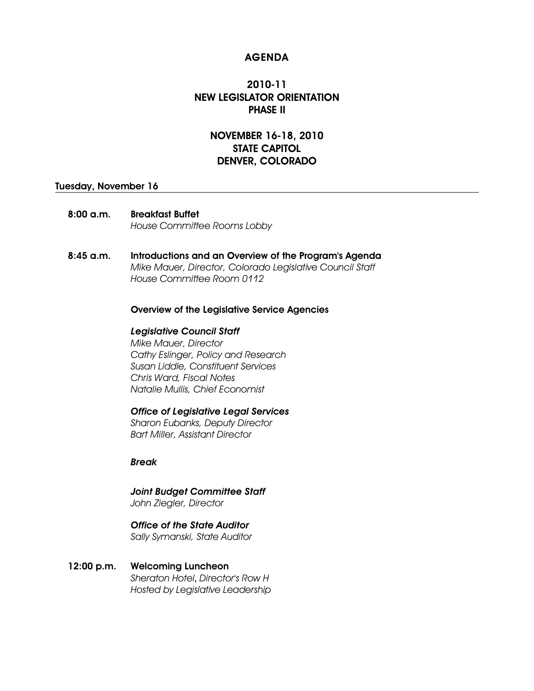# **AGENDA**

# **2010-11 NEW LEGISLATOR ORIENTATION PHASE II**

# **NOVEMBER 16-18, 2010 STATE CAPITOL DENVER, COLORADO**

### **Tuesday, November 16**

**8:00 a.m. Breakfast Buffet** *House Committee Rooms Lobby*

# **8:45 a.m. Introductions and an Overview of the Program's Agenda** *Mike Mauer, Director, Colorado Legislative Council Staff House Committee Room 0112*

#### **Overview of the Legislative Service Agencies**

## *Legislative Council Staff*

*Mike Mauer, Director Cathy Eslinger, Policy and Research Susan Liddle, Constituent Services Chris Ward, Fiscal Notes Natalie Mullis, Chief Economist*

#### *Office of Legislative Legal Services*

*Sharon Eubanks, Deputy Director Bart Miller, Assistant Director*

# *Break*

*Joint Budget Committee Staff John Ziegler, Director*

*Office of the State Auditor Sally Symanski, State Auditor*

**12:00 p.m. Welcoming Luncheon** *Sheraton Hotel***,** *Director's Row H Hosted by Legislative Leadership*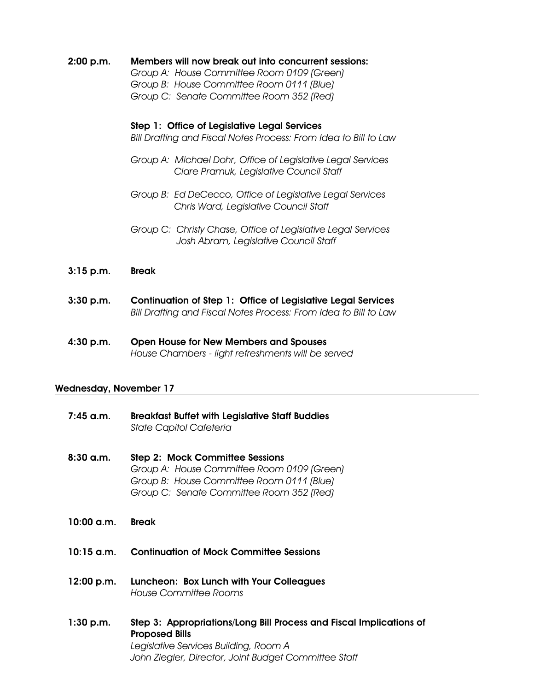# **2:00 p.m. Members will now break out into concurrent sessions:** *Group A: House Committee Room 0109 (Green) Group B: House Committee Room 0111 (Blue) Group C: Senate Committee Room 352 (Red)*

## **Step 1: Office of Legislative Legal Services**

*Bill Drafting and Fiscal Notes Process: From Idea to Bill to Law*

- *Group A: Michael Dohr, Office of Legislative Legal Services Clare Pramuk, Legislative Council Staff*
- *Group B: Ed DeCecco, Office of Legislative Legal Services Chris Ward, Legislative Council Staff*
- *Group C: Christy Chase, Office of Legislative Legal Services Josh Abram, Legislative Council Staff*

### **3:15 p.m. Break**

- **3:30 p.m. Continuation of Step 1: Office of Legislative Legal Services** *Bill Drafting and Fiscal Notes Process: From Idea to Bill to Law*
- **4:30 p.m. Open House for New Members and Spouses** *House Chambers - light refreshments will be served*

# **Wednesday, November 17**

- **7:45 a.m. Breakfast Buffet with Legislative Staff Buddies**  *State Capitol Cafeteria*
- **8:30 a.m. Step 2: Mock Committee Sessions** *Group A: House Committee Room 0109 (Green) Group B: House Committee Room 0111 (Blue) Group C: Senate Committee Room 352 (Red)*
- **10:00 a.m. Break**
- **10:15 a.m. Continuation of Mock Committee Sessions**
- **12:00 p.m. Luncheon: Box Lunch with Your Colleagues** *House Committee Rooms*
- **1:30 p.m. Step 3: Appropriations/Long Bill Process and Fiscal Implications of Proposed Bills** *Legislative Services Building, Room A John Ziegler, Director, Joint Budget Committee Staff*